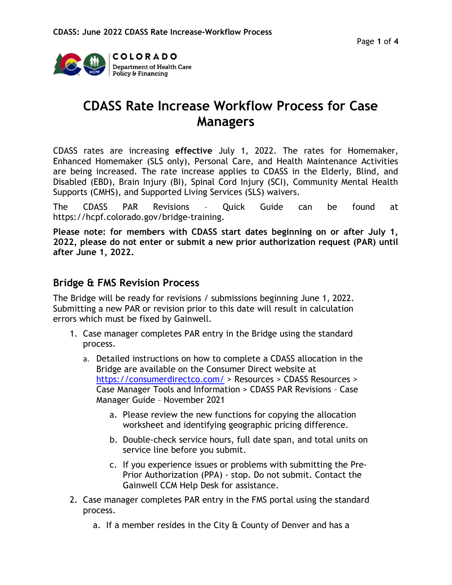

# CDASS Rate Increase Workflow Process for Case Managers

CDASS rates are increasing effective July 1, 2022. The rates for Homemaker, Enhanced Homemaker (SLS only), Personal Care, and Health Maintenance Activities are being increased. The rate increase applies to CDASS in the Elderly, Blind, and Disabled (EBD), Brain Injury (BI), Spinal Cord Injury (SCI), Community Mental Health Supports (CMHS), and Supported Living Services (SLS) waivers.

The CDASS PAR Revisions – Quick Guide can be found at https://hcpf.colorado.gov/bridge-training.

Please note: for members with CDASS start dates beginning on or after July 1, 2022, please do not enter or submit a new prior authorization request (PAR) until after June 1, 2022.

### Bridge & FMS Revision Process

The Bridge will be ready for revisions / submissions beginning June 1, 2022. Submitting a new PAR or revision prior to this date will result in calculation errors which must be fixed by Gainwell.

- 1. Case manager completes PAR entry in the Bridge using the standard process.
	- a. Detailed instructions on how to complete a CDASS allocation in the Bridge are available on the Consumer Direct website at https://consumerdirectco.com/ > Resources > CDASS Resources > Case Manager Tools and Information > CDASS PAR Revisions – Case Manager Guide – November 2021
		- a. Please review the new functions for copying the allocation worksheet and identifying geographic pricing difference.
		- b. Double-check service hours, full date span, and total units on service line before you submit.
		- c. If you experience issues or problems with submitting the Pre-Prior Authorization (PPA) - stop. Do not submit. Contact the Gainwell CCM Help Desk for assistance.
- 2. Case manager completes PAR entry in the FMS portal using the standard process.
	- a. If a member resides in the City & County of Denver and has a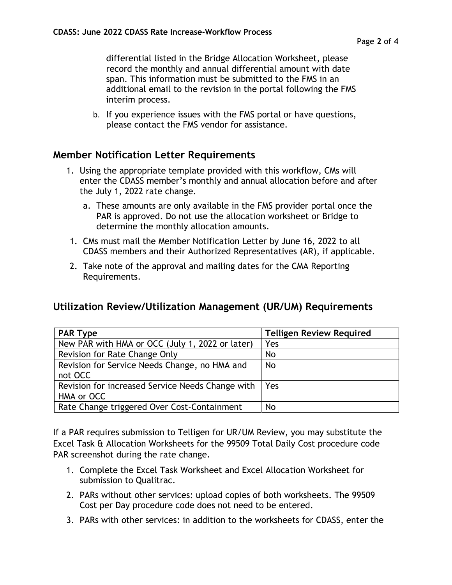differential listed in the Bridge Allocation Worksheet, please record the monthly and annual differential amount with date span. This information must be submitted to the FMS in an additional email to the revision in the portal following the FMS interim process.

b. If you experience issues with the FMS portal or have questions, please contact the FMS vendor for assistance.

### Member Notification Letter Requirements

- 1. Using the appropriate template provided with this workflow, CMs will enter the CDASS member's monthly and annual allocation before and after the July 1, 2022 rate change.
	- a. These amounts are only available in the FMS provider portal once the PAR is approved. Do not use the allocation worksheet or Bridge to determine the monthly allocation amounts.
- 1. CMs must mail the Member Notification Letter by June 16, 2022 to all CDASS members and their Authorized Representatives (AR), if applicable.
- 2. Take note of the approval and mailing dates for the CMA Reporting Requirements.

### Utilization Review/Utilization Management (UR/UM) Requirements

| <b>PAR Type</b>                                                | <b>Telligen Review Required</b> |
|----------------------------------------------------------------|---------------------------------|
| New PAR with HMA or OCC (July 1, 2022 or later)                | Yes                             |
| Revision for Rate Change Only                                  | <b>No</b>                       |
| Revision for Service Needs Change, no HMA and<br>not OCC       | <b>No</b>                       |
| Revision for increased Service Needs Change with<br>HMA or OCC | Yes                             |
| Rate Change triggered Over Cost-Containment                    | <b>No</b>                       |

If a PAR requires submission to Telligen for UR/UM Review, you may substitute the Excel Task & Allocation Worksheets for the 99509 Total Daily Cost procedure code PAR screenshot during the rate change.

- 1. Complete the Excel Task Worksheet and Excel Allocation Worksheet for submission to Qualitrac.
- 2. PARs without other services: upload copies of both worksheets. The 99509 Cost per Day procedure code does not need to be entered.
- 3. PARs with other services: in addition to the worksheets for CDASS, enter the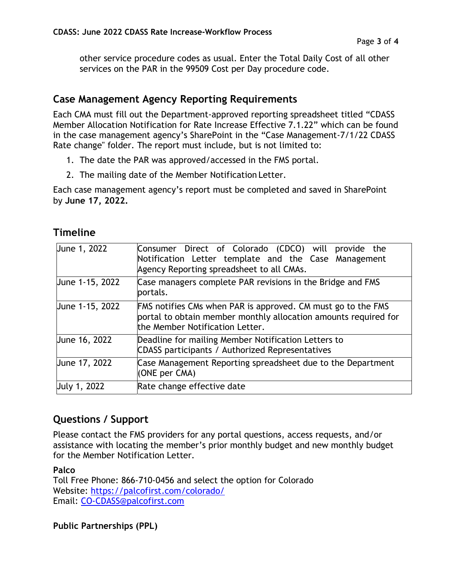other service procedure codes as usual. Enter the Total Daily Cost of all other services on the PAR in the 99509 Cost per Day procedure code.

## Case Management Agency Reporting Requirements

Each CMA must fill out the Department-approved reporting spreadsheet titled "CDASS Member Allocation Notification for Rate Increase Effective 7.1.22" which can be found in the case management agency's SharePoint in the "Case Management-7/1/22 CDASS Rate change" folder. The report must include, but is not limited to:

- 1. The date the PAR was approved/accessed in the FMS portal.
- 2. The mailing date of the Member Notification Letter.

Each case management agency's report must be completed and saved in SharePoint by June 17, 2022.

# Timeline

| June 1, 2022        | Consumer Direct of Colorado (CDCO) will provide the<br>Notification Letter template and the Case Management<br>Agency Reporting spreadsheet to all CMAs.                  |  |
|---------------------|---------------------------------------------------------------------------------------------------------------------------------------------------------------------------|--|
| June 1-15, 2022     | Case managers complete PAR revisions in the Bridge and FMS<br>portals.                                                                                                    |  |
| June 1-15, 2022     | <b>FMS notifies CMs when PAR is approved. CM must go to the FMS</b><br>portal to obtain member monthly allocation amounts required for<br>the Member Notification Letter. |  |
| June 16, 2022       | Deadline for mailing Member Notification Letters to<br>CDASS participants / Authorized Representatives                                                                    |  |
| June 17, 2022       | Case Management Reporting spreadsheet due to the Department<br>(ONE per CMA)                                                                                              |  |
| <b>July 1, 2022</b> | Rate change effective date                                                                                                                                                |  |

# Questions / Support

Please contact the FMS providers for any portal questions, access requests, and/or assistance with locating the member's prior monthly budget and new monthly budget for the Member Notification Letter.

#### Palco

Toll Free Phone: 866-710-0456 and select the option for Colorado Website: https://palcofirst.com/colorado/ Email: CO-CDASS@palcofirst.com

Public Partnerships (PPL)